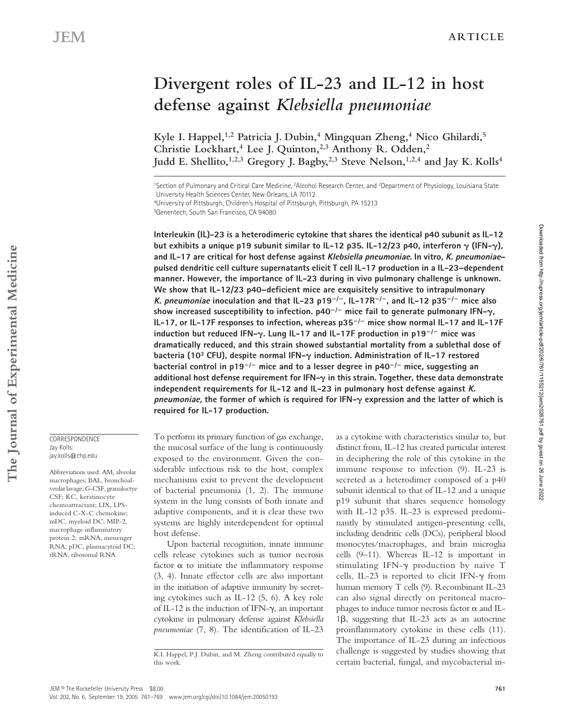# **Divergent roles of IL-23 and IL-12 in host defense against** *Klebsiella pneumoniae*

Kyle I. Happel,<sup>1,2</sup> Patricia J. Dubin,<sup>4</sup> Mingquan Zheng,<sup>4</sup> Nico Ghilardi,<sup>5</sup> **Christie Lockhart,4 Lee J. Quinton,2,3 Anthony R. Odden,2**  Judd E. Shellito,<sup>1,2,3</sup> Gregory J. Bagby,<sup>2,3</sup> Steve Nelson,<sup>1,2,4</sup> and Jay K. Kolls<sup>4</sup>

4University of Pittsburgh, Children's Hospital of Pittsburgh, Pittsburgh, PA 15213

**Interleukin (IL)-23 is a heterodimeric cytokine that shares the identical p40 subunit as IL-12 but exhibits a unique p19 subunit similar to IL-12 p35. IL-12/23 p40, interferon (IFN-), and IL-17 are critical for host defense against Klebsiella pneumoniae. In vitro, K. pneumoniae– pulsed dendritic cell culture supernatants elicit T cell IL-17 production in a IL-23–dependent manner. However, the importance of IL-23 during in vivo pulmonary challenge is unknown. We show that IL-12/23 p40–deficient mice are exquisitely sensitive to intrapulmonary K. pneumoniae inoculation and that IL-23 p19**-**/**-**, IL-17R**-**/**-**, and IL-12 p35**-**/**- **mice also show increased susceptibility to infection. p40**-**/**- **mice fail to generate pulmonary IFN-, IL-17, or IL-17F responses to infection, whereas p35**-**/**- **mice show normal IL-17 and IL-17F induction but reduced IFN-. Lung IL-17 and IL-17F production in p19**-**/**- **mice was dramatically reduced, and this strain showed substantial mortality from a sublethal dose of bacteria (103 CFU), despite normal IFN- induction. Administration of IL-17 restored**  bacterial control in p19<sup>-/-</sup> mice and to a lesser degree in p40<sup>-/-</sup> mice, suggesting an additional host defense requirement for IFN- $\gamma$  in this strain. Together, these data demonstrate **independent requirements for IL-12 and IL-23 in pulmonary host defense against K. pneumoniae, the former of which is required for IFN- expression and the latter of which is required for IL-17 production.**

To perform its primary function of gas exchange, the mucosal surface of the lung is continuously exposed to the environment. Given the considerable infectious risk to the host, complex mechanisms exist to prevent the development of bacterial pneumonia (1, 2). The immune system in the lung consists of both innate and adaptive components, and it is clear these two systems are highly interdependent for optimal host defense.

Upon bacterial recognition, innate immune cells release cytokines such as tumor necrosis factor  $\alpha$  to initiate the inflammatory response (3, 4). Innate effector cells are also important in the initiation of adaptive immunity by secreting cytokines such as IL-12 (5, 6). A key role of IL-12 is the induction of IFN- $\gamma$ , an important cytokine in pulmonary defense against *Klebsiella pneumoniae* (7, 8). The identification of IL-23

as a cytokine with characteristics similar to, but distinct from, IL-12 has created particular interest in deciphering the role of this cytokine in the immune response to infection (9). IL-23 is secreted as a heterodimer composed of a p40 subunit identical to that of IL-12 and a unique p19 subunit that shares sequence homology with IL-12 p35. IL-23 is expressed predominantly by stimulated antigen-presenting cells, including dendritic cells (DCs), peripheral blood monocytes/macrophages, and brain microglia cells (9–11). Whereas IL-12 is important in stimulating IFN-y production by naive T cells, IL-23 is reported to elicit IFN- $\gamma$  from human memory T cells (9). Recombinant IL-23 can also signal directly on peritoneal macrophages to induce tumor necrosis factor  $\alpha$  and IL- $1\beta$ , suggesting that IL-23 acts as an autocrine proinflammatory cytokine in these cells (11). The importance of IL-23 during an infectious challenge is suggested by studies showing that certain bacterial, fungal, and mycobacterial in-

**CORRESPONDENCE** Jay Kolls: jay.kolls@chp.edu

Abbreviations used: AM, alveolar macrophages; BAL, bronchoalveolar lavage; G-CSF, granuloctye CSF; KC, keratinocyte chemoattractant; LIX, LPSinduced C-X-C chemokine; mDC, myeloid DC; MIP-2, macrophage inflammatory protein 2; mRNA, messenger RNA; pDC, plasmacytoid DC; rRNA, ribosomal RNA.

Downloaded from http://rupress.org/jem/article-pdf/202/6/761/1155212/jem2026761.pdf by guest on 26 June 2022

Downloaded from http://rupress.org/jem/article-pdf/202/6/76111155212/jem2026761.pdf by guest on 26 June 2022

<sup>&</sup>lt;sup>1</sup>Section of Pulmonary and Critical Care Medicine, <sup>2</sup>Alcohol Research Center, and <sup>3</sup>Department of Physiology, Louisiana State

University Health Sciences Center, New Orleans, LA 70112

<sup>5</sup>Genentech, South San Francisco, CA 94080

K.I. Happel, P.J. Dubin, and M. Zheng contributed equally to this work.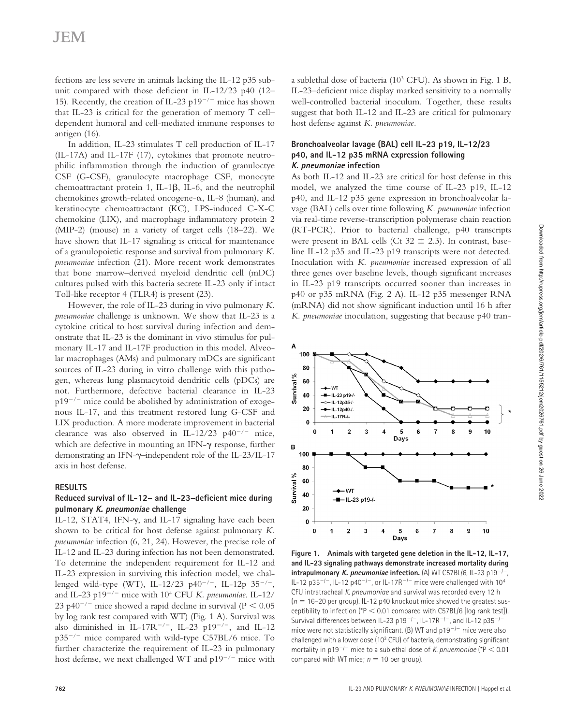fections are less severe in animals lacking the IL-12 p35 subunit compared with those deficient in IL-12/23 p40 (12– 15). Recently, the creation of IL-23 p19<sup>-/-</sup> mice has shown that IL-23 is critical for the generation of memory T cell– dependent humoral and cell-mediated immune responses to antigen (16).

In addition, IL-23 stimulates T cell production of IL-17 (IL-17A) and IL-17F (17), cytokines that promote neutrophilic inflammation through the induction of granuloctye CSF (G-CSF), granulocyte macrophage CSF, monocyte chemoattractant protein 1, IL-1 $\beta$ , IL-6, and the neutrophil chemokines growth-related oncogene- $\alpha$ , IL-8 (human), and keratinocyte chemoattractant (KC), LPS-induced C-X-C chemokine (LIX), and macrophage inflammatory protein 2 (MIP-2) (mouse) in a variety of target cells (18–22). We have shown that IL-17 signaling is critical for maintenance of a granulopoietic response and survival from pulmonary *K. pneumoniae* infection (21). More recent work demonstrates that bone marrow–derived myeloid dendritic cell (mDC) cultures pulsed with this bacteria secrete IL-23 only if intact Toll-like receptor 4 (TLR4) is present (23).

However, the role of IL-23 during in vivo pulmonary *K. pneumoniae* challenge is unknown. We show that IL-23 is a cytokine critical to host survival during infection and demonstrate that IL-23 is the dominant in vivo stimulus for pulmonary IL-17 and IL-17F production in this model. Alveolar macrophages (AMs) and pulmonary mDCs are significant sources of IL-23 during in vitro challenge with this pathogen, whereas lung plasmacytoid dendritic cells (pDCs) are not. Furthermore, defective bacterial clearance in IL-23  $p19^{-/-}$  mice could be abolished by administration of exogenous IL-17, and this treatment restored lung G-CSF and LIX production. A more moderate improvement in bacterial clearance was also observed in IL-12/23  $p40^{-/-}$  mice, which are defective in mounting an IFN- $\gamma$  response, further demonstrating an IFN-y-independent role of the IL-23/IL-17 axis in host defense.

#### **RESULTS**

### **Reduced survival of IL-12– and IL-23–deficient mice during pulmonary K. pneumoniae challenge**

IL-12, STAT4, IFN- $\gamma$ , and IL-17 signaling have each been shown to be critical for host defense against pulmonary *K. pneumoniae* infection (6, 21, 24). However, the precise role of IL-12 and IL-23 during infection has not been demonstrated. To determine the independent requirement for IL-12 and IL-23 expression in surviving this infection model, we challenged wild-type (WT), IL-12/23 p40<sup>-/-</sup>, IL-12p 35<sup>-/-</sup>, and IL-23 p19<sup>-/-</sup> mice with 10<sup>4</sup> CFU *K. pneumoniae*. IL-12/ 23 p40<sup>-/-</sup> mice showed a rapid decline in survival ( $P < 0.05$ ) by log rank test compared with WT) (Fig. 1 A). Survival was also diminished in IL-17R<sup>-/-</sup>, IL-23 p19<sup>-/-</sup>, and IL-12  $p35^{-/-}$  mice compared with wild-type C57BL/6 mice. To further characterize the requirement of IL-23 in pulmonary host defense, we next challenged WT and  $p19^{-/-}$  mice with

a sublethal dose of bacteria ( $10^3$  CFU). As shown in Fig. 1 B, IL-23–deficient mice display marked sensitivity to a normally well-controlled bacterial inoculum. Together, these results suggest that both IL-12 and IL-23 are critical for pulmonary host defense against *K. pneumoniae.*

## **Bronchoalveolar lavage (BAL) cell IL-23 p19, IL-12/23 p40, and IL-12 p35 mRNA expression following K. pneumoniae infection**

As both IL-12 and IL-23 are critical for host defense in this model, we analyzed the time course of IL-23 p19, IL-12 p40, and IL-12 p35 gene expression in bronchoalveolar lavage (BAL) cells over time following *K. pneumoniae* infection via real-time reverse-transcription polymerase chain reaction (RT-PCR). Prior to bacterial challenge, p40 transcripts were present in BAL cells (Ct  $32 \pm 2.3$ ). In contrast, baseline IL-12 p35 and IL-23 p19 transcripts were not detected. Inoculation with *K. pneumoniae* increased expression of all three genes over baseline levels, though significant increases in IL-23 p19 transcripts occurred sooner than increases in p40 or p35 mRNA (Fig. 2 A). IL-12 p35 messenger RNA (mRNA) did not show significant induction until 16 h after *K. pneumoniae* inoculation, suggesting that because p40 tran-



**Figure 1. Animals with targeted gene deletion in the IL-12, IL-17, and IL-23 signaling pathways demonstrate increased mortality during intrapulmonary** *K.* **pneumoniae infection.** (A) WT C57BL/6, IL-23 p19<sup>-/-</sup>, IL-12 p35<sup>-/-</sup>, IL-12 p40<sup>-/-</sup>, or IL-17R<sup>-/-</sup> mice were challenged with 10<sup>4</sup> CFU intratracheal *K. pneumoniae* and survival was recorded every 12 h  $(n = 16-20$  per group). IL-12 p40 knockout mice showed the greatest susceptibility to infection ( $P < 0.01$  compared with C57BL/6 [log rank test]). Survival differences between IL-23 p19<sup>-/-</sup>, IL-17R<sup>-/-</sup>, and IL-12 p35<sup>-/-</sup> mice were not statistically significant. (B) WT and  $p19^{-/-}$  mice were also challenged with a lower dose (10<sup>3</sup> CFU) of bacteria, demonstrating significant mortality in  $p19^{-/-}$  mice to a sublethal dose of *K. pnuemoniae* (\*P < 0.01 compared with WT mice;  $n = 10$  per group).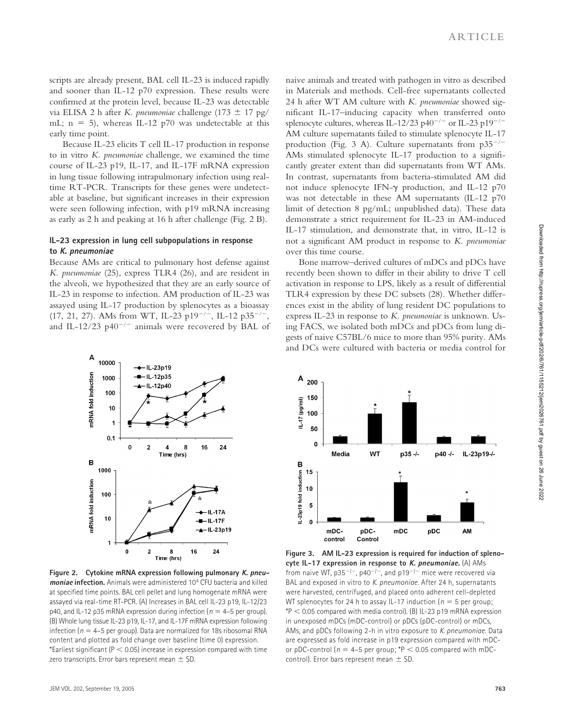scripts are already present, BAL cell IL-23 is induced rapidly and sooner than IL-12 p70 expression. These results were confirmed at the protein level, because IL-23 was detectable via ELISA 2 h after *K. pneumoniae* challenge  $(173 \pm 17 \text{ pg/})$ mL;  $n = 5$ ), whereas IL-12 p70 was undetectable at this early time point.

Because IL-23 elicits T cell IL-17 production in response to in vitro *K. pneumoniae* challenge, we examined the time course of IL-23 p19, IL-17, and IL-17F mRNA expression in lung tissue following intrapulmonary infection using realtime RT-PCR. Transcripts for these genes were undetectable at baseline, but significant increases in their expression were seen following infection, with p19 mRNA increasing as early as 2 h and peaking at 16 h after challenge (Fig. 2 B).

#### **IL-23 expression in lung cell subpopulations in response to K. pneumoniae**

Because AMs are critical to pulmonary host defense against *K. pneumoniae* (25), express TLR4 (26), and are resident in the alveoli, we hypothesized that they are an early source of IL-23 in response to infection. AM production of IL-23 was assayed using IL-17 production by splenocytes as a bioassay (17, 21, 27). AMs from WT, IL-23 p19<sup>-/-</sup>, IL-12 p35<sup>-/-</sup>, and IL-12/23 p40<sup>-/-</sup> animals were recovered by BAL of



**Figure 2. Cytokine mRNA expression following pulmonary K. pneumoniae infection.** Animals were administered 104 CFU bacteria and killed at specified time points. BAL cell pellet and lung homogenate mRNA were assayed via real-time RT-PCR. (A) Increases in BAL cell IL-23 p19, IL-12/23 p40, and IL-12 p35 mRNA expression during infection ( $n = 4-5$  per group). (B) Whole lung tissue IL-23 p19, IL-17, and IL-17F mRNA expression following infection ( $n = 4-5$  per group). Data are normalized for 18s ribosomal RNA content and plotted as fold change over baseline (time 0) expression. \*Earliest significant ( $P < 0.05$ ) increase in expression compared with time zero transcripts. Error bars represent mean  $\pm$  SD.

naive animals and treated with pathogen in vitro as described in Materials and methods. Cell-free supernatants collected 24 h after WT AM culture with *K. pneumoniae* showed significant IL-17–inducing capacity when transferred onto splenocyte cultures, whereas IL-12/23 p40<sup>-/-</sup> or IL-23 p19<sup>-/-</sup> AM culture supernatants failed to stimulate splenocyte IL-17 production (Fig. 3 A). Culture supernatants from  $p35^{-/-}$ AMs stimulated splenocyte IL-17 production to a significantly greater extent than did supernatants from WT AMs. In contrast, supernatants from bacteria-stimulated AM did not induce splenocyte IFN- $\gamma$  production, and IL-12 p70 was not detectable in these AM supernatants (IL-12 p70) limit of detection 8 pg/mL; unpublished data). These data demonstrate a strict requirement for IL-23 in AM-induced IL-17 stimulation, and demonstrate that, in vitro, IL-12 is not a significant AM product in response to *K. pneumoniae* over this time course.

Bone marrow–derived cultures of mDCs and pDCs have recently been shown to differ in their ability to drive T cell activation in response to LPS, likely as a result of differential TLR4 expression by these DC subsets (28). Whether differences exist in the ability of lung resident DC populations to express IL-23 in response to *K. pneumoniae* is unknown. Using FACS, we isolated both mDCs and pDCs from lung digests of naive C57BL/6 mice to more than 95% purity. AMs and DCs were cultured with bacteria or media control for



**Figure 3. AM IL-23 expression is required for induction of splenocyte IL-17 expression in response to K. pneumoniae.** (A) AMs from naive WT,  $p35^{-1}$ ,  $p40^{-1}$ , and  $p19^{-1}$  mice were recovered via BAL and exposed in vitro to *K. pneumoniae*. After 24 h, supernatants were harvested, centrifuged, and placed onto adherent cell-depleted WT splenocytes for 24 h to assay IL-17 induction  $(n = 5$  per group;  $*P < 0.05$  compared with media control). (B) IL-23 p19 mRNA expression in unexposed mDCs (mDC-control) or pDCs (pDC-control) or mDCs, AMs, and pDCs following 2-h in vitro exposure to *K. pneumoniae.* Data are expressed as fold increase in p19 expression compared with mDCor pDC-control ( $n = 4-5$  per group; \*P  $< 0.05$  compared with mDCcontrol). Error bars represent mean  $\pm$  SD.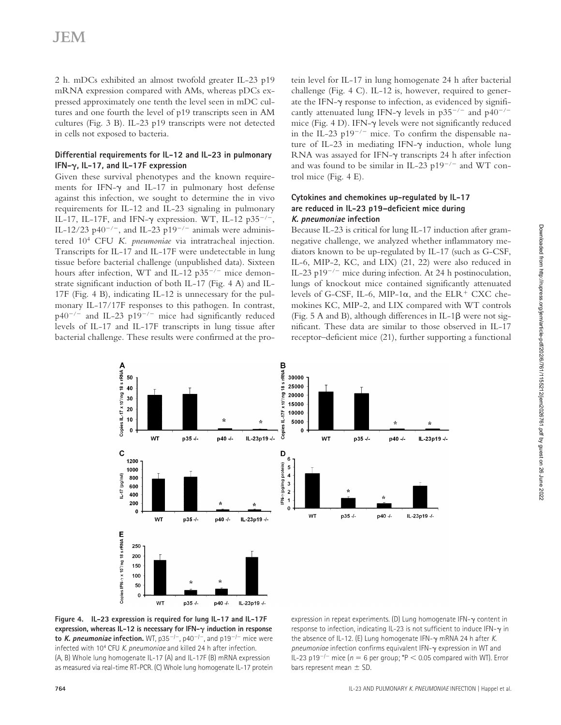2 h. mDCs exhibited an almost twofold greater IL-23 p19 mRNA expression compared with AMs, whereas pDCs expressed approximately one tenth the level seen in mDC cultures and one fourth the level of p19 transcripts seen in AM cultures (Fig. 3 B). IL-23 p19 transcripts were not detected in cells not exposed to bacteria.

### **Differential requirements for IL-12 and IL-23 in pulmonary IFN-, IL-17, and IL-17F expression**

Given these survival phenotypes and the known requirements for IFN- $\gamma$  and IL-17 in pulmonary host defense against this infection, we sought to determine the in vivo requirements for IL-12 and IL-23 signaling in pulmonary IL-17, IL-17F, and IFN- $\gamma$  expression. WT, IL-12 p35<sup>-/-</sup>, IL-12/23 p40<sup>-/-</sup>, and IL-23 p19<sup>-/-</sup> animals were administered 104 CFU *K. pneumoniae* via intratracheal injection. Transcripts for IL-17 and IL-17F were undetectable in lung tissue before bacterial challenge (unpublished data). Sixteen hours after infection, WT and IL-12  $p35^{-/-}$  mice demonstrate significant induction of both IL-17 (Fig. 4 A) and IL-17F (Fig. 4 B), indicating IL-12 is unnecessary for the pulmonary IL-17/17F responses to this pathogen. In contrast,  $p40^{-/-}$  and IL-23 p19<sup>-/-</sup> mice had significantly reduced levels of IL-17 and IL-17F transcripts in lung tissue after bacterial challenge. These results were confirmed at the pro-

tein level for IL-17 in lung homogenate 24 h after bacterial challenge (Fig. 4 C). IL-12 is, however, required to generate the IFN- $\gamma$  response to infection, as evidenced by significantly attenuated lung IFN- $\gamma$  levels in p35<sup>-/-</sup> and p40<sup>-/-</sup> mice (Fig.  $4$  D). IFN- $\gamma$  levels were not significantly reduced in the IL-23 p19<sup>-/-</sup> mice. To confirm the dispensable nature of IL-23 in mediating IFN- $\gamma$  induction, whole lung RNA was assayed for IFN- $\gamma$  transcripts 24 h after infection and was found to be similar in IL-23 p19<sup>-/-</sup> and WT control mice (Fig. 4 E).

## **Cytokines and chemokines up-regulated by IL-17 are reduced in IL-23 p19–deficient mice during K. pneumoniae infection**

Because IL-23 is critical for lung IL-17 induction after gramnegative challenge, we analyzed whether inflammatory mediators known to be up-regulated by IL-17 (such as G-CSF, IL-6, MIP-2, KC, and LIX) (21, 22) were also reduced in IL-23 p19<sup>-/-</sup> mice during infection. At 24 h postinoculation, lungs of knockout mice contained significantly attenuated levels of G-CSF, IL-6, MIP-1 $\alpha$ , and the ELR<sup>+</sup> CXC chemokines KC, MIP-2, and LIX compared with WT controls (Fig. 5 A and B), although differences in IL-1 $\beta$  were not significant. These data are similar to those observed in IL-17 receptor–deficient mice (21), further supporting a functional



**Figure 4. IL-23 expression is required for lung IL-17 and IL-17F expression, whereas IL-12 is necessary for IFN- induction in response to** *K. pneumoniae* **infection.** WT, p35<sup>-/-</sup>, p40<sup>-/-</sup>, and p19<sup>-/-</sup> mice were infected with 104 CFU *K. pneumoniae* and killed 24 h after infection. (A, B) Whole lung homogenate IL-17 (A) and IL-17F (B) mRNA expression as measured via real-time RT-PCR. (C) Whole lung homogenate IL-17 protein

expression in repeat experiments. (D) Lung homogenate IFN- $\gamma$  content in response to infection, indicating IL-23 is not sufficient to induce IFN- $\gamma$  in the absence of IL-12. (E) Lung homogenate IFN-- mRNA 24 h after *K.*  pneumoniae infection confirms equivalent IFN- $\gamma$  expression in WT and IL-23 p19<sup>-/-</sup> mice ( $n = 6$  per group; \*P < 0.05 compared with WT). Error bars represent mean  $\pm$  SD.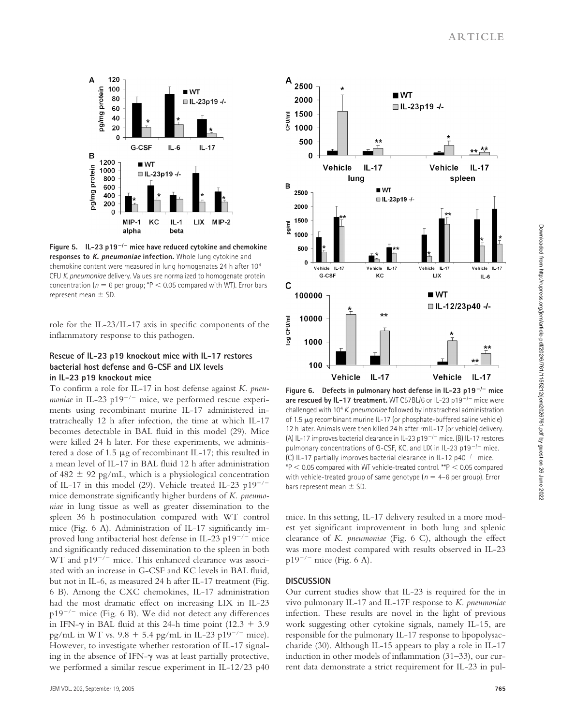

Figure 5.  $IL-23 p19^{-/-}$  mice have reduced cytokine and chemokine **responses to K. pneumoniae infection.** Whole lung cytokine and chemokine content were measured in lung homogenates 24 h after 104 CFU *K. pneumoniae* delivery. Values are normalized to homogenate protein concentration ( $n = 6$  per group; \*P < 0.05 compared with WT). Error bars represent mean  $\pm$  SD.

role for the IL-23/IL-17 axis in specific components of the inflammatory response to this pathogen.

#### **Rescue of IL-23 p19 knockout mice with IL-17 restores bacterial host defense and G-CSF and LIX levels in IL-23 p19 knockout mice**

To confirm a role for IL-17 in host defense against *K. pneumoniae* in IL-23 p19<sup>-/-</sup> mice, we performed rescue experiments using recombinant murine IL-17 administered intratracheally 12 h after infection, the time at which IL-17 becomes detectable in BAL fluid in this model (29). Mice were killed 24 h later. For these experiments, we administered a dose of 1.5  $\mu$ g of recombinant IL-17; this resulted in a mean level of IL-17 in BAL fluid 12 h after administration of 482  $\pm$  92 pg/mL, which is a physiological concentration of IL-17 in this model (29). Vehicle treated IL-23  $p19^{-/-}$ mice demonstrate significantly higher burdens of *K. pneumoniae* in lung tissue as well as greater dissemination to the spleen 36 h postinoculation compared with WT control mice (Fig. 6 A). Administration of IL-17 significantly improved lung antibacterial host defense in IL-23 p19<sup>-/-</sup> mice and significantly reduced dissemination to the spleen in both  $WT$  and  $p19^{-/-}$  mice. This enhanced clearance was associated with an increase in G-CSF and KC levels in BAL fluid, but not in IL-6, as measured 24 h after IL-17 treatment (Fig. 6 B). Among the CXC chemokines, IL-17 administration had the most dramatic effect on increasing LIX in IL-23  $p19^{-/-}$  mice (Fig. 6 B). We did not detect any differences in IFN- $\gamma$  in BAL fluid at this 24-h time point (12.3 + 3.9) pg/mL in WT vs.  $9.8 + 5.4$  pg/mL in IL-23 p19<sup>-/-</sup> mice). However, to investigate whether restoration of IL-17 signaling in the absence of IFN- $\gamma$  was at least partially protective, we performed a similar rescue experiment in IL-12/23 p40



**Figure 6. Defects in pulmonary host defense in IL-23 p19**-**/**- **mice are rescued by IL-17 treatment.** WT C57BL/6 or IL-23 p19<sup>-/-</sup> mice were challenged with 104 *K. pneumoniae* followed by intratracheal administration of 1.5  $\mu$ g recombinant murine IL-17 (or phosphate-buffered saline vehicle) 12 h later. Animals were then killed 24 h after rmIL-17 (or vehicle) delivery. (A) IL-17 improves bacterial clearance in IL-23 p19<sup>-/-</sup> mice. (B) IL-17 restores pulmonary concentrations of G-CSF, KC, and LIX in IL-23 p19 $^{-/-}$  mice. (C) IL-17 partially improves bacterial clearance in IL-12 p40<sup>-/-</sup> mice.  $*P < 0.05$  compared with WT vehicle-treated control.  $*P < 0.05$  compared with vehicle-treated group of same genotype ( $n = 4-6$  per group). Error bars represent mean  $\pm$  SD.

mice. In this setting, IL-17 delivery resulted in a more modest yet significant improvement in both lung and splenic clearance of *K. pneumoniae* (Fig. 6 C), although the effect was more modest compared with results observed in IL-23  $p19^{-/-}$  mice (Fig. 6 A).

#### **DISCUSSION**

Our current studies show that IL-23 is required for the in vivo pulmonary IL-17 and IL-17F response to *K. pneumoniae* infection. These results are novel in the light of previous work suggesting other cytokine signals, namely IL-15, are responsible for the pulmonary IL-17 response to lipopolysaccharide (30). Although IL-15 appears to play a role in IL-17 induction in other models of inflammation (31–33), our current data demonstrate a strict requirement for IL-23 in pul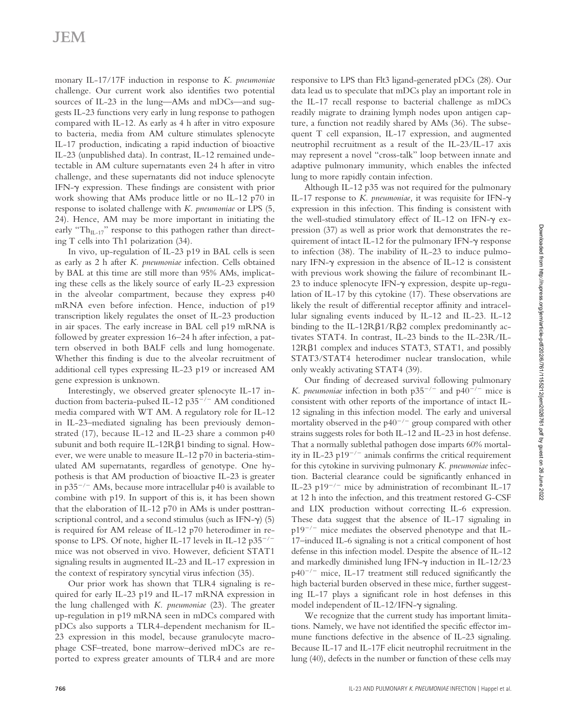monary IL-17/17F induction in response to *K. pneumoniae* challenge. Our current work also identifies two potential sources of IL-23 in the lung—AMs and mDCs—and suggests IL-23 functions very early in lung response to pathogen compared with IL-12. As early as 4 h after in vitro exposure to bacteria, media from AM culture stimulates splenocyte IL-17 production, indicating a rapid induction of bioactive IL-23 (unpublished data). In contrast, IL-12 remained undetectable in AM culture supernatants even 24 h after in vitro challenge, and these supernatants did not induce splenocyte IFN- $\gamma$  expression. These findings are consistent with prior work showing that AMs produce little or no IL-12 p70 in response to isolated challenge with *K. pneumoniae* or LPS (5, 24). Hence, AM may be more important in initiating the early " $Th_{IL-17}$ " response to this pathogen rather than directing T cells into Th1 polarization (34).

In vivo, up-regulation of IL-23 p19 in BAL cells is seen as early as 2 h after *K. pneumoniae* infection. Cells obtained by BAL at this time are still more than 95% AMs, implicating these cells as the likely source of early IL-23 expression in the alveolar compartment, because they express p40 mRNA even before infection. Hence, induction of p19 transcription likely regulates the onset of IL-23 production in air spaces. The early increase in BAL cell p19 mRNA is followed by greater expression 16–24 h after infection, a pattern observed in both BALF cells and lung homogenate. Whether this finding is due to the alveolar recruitment of additional cell types expressing IL-23 p19 or increased AM gene expression is unknown.

Interestingly, we observed greater splenocyte IL-17 induction from bacteria-pulsed IL-12  $p35^{-/-}$  AM conditioned media compared with WT AM. A regulatory role for IL-12 in IL-23–mediated signaling has been previously demonstrated (17), because IL-12 and IL-23 share a common p40 subunit and both require IL-12R $\beta$ 1 binding to signal. However, we were unable to measure IL-12 p70 in bacteria-stimulated AM supernatants, regardless of genotype. One hypothesis is that AM production of bioactive IL-23 is greater in  $p35^{-/-}$  AMs, because more intracellular p40 is available to combine with p19. In support of this is, it has been shown that the elaboration of IL-12 p70 in AMs is under posttranscriptional control, and a second stimulus (such as IFN- $\gamma$ ) (5) is required for AM release of IL-12 p70 heterodimer in response to LPS. Of note, higher IL-17 levels in IL-12  $p35^{-/-}$ mice was not observed in vivo. However, deficient STAT1 signaling results in augmented IL-23 and IL-17 expression in the context of respiratory syncytial virus infection (35).

Our prior work has shown that TLR4 signaling is required for early IL-23 p19 and IL-17 mRNA expression in the lung challenged with *K. pneumoniae* (23). The greater up-regulation in p19 mRNA seen in mDCs compared with pDCs also supports a TLR4-dependent mechanism for IL-23 expression in this model, because granulocyte macrophage CSF–treated, bone marrow–derived mDCs are reported to express greater amounts of TLR4 and are more

responsive to LPS than Flt3 ligand-generated pDCs (28). Our data lead us to speculate that mDCs play an important role in the IL-17 recall response to bacterial challenge as mDCs readily migrate to draining lymph nodes upon antigen capture, a function not readily shared by AMs (36). The subsequent T cell expansion, IL-17 expression, and augmented neutrophil recruitment as a result of the IL-23/IL-17 axis may represent a novel "cross-talk" loop between innate and adaptive pulmonary immunity, which enables the infected lung to more rapidly contain infection.

Although IL-12 p35 was not required for the pulmonary IL-17 response to *K. pneumoniae,* it was requisite for IFN- expression in this infection. This finding is consistent with the well-studied stimulatory effect of IL-12 on IFN- $\gamma$  expression (37) as well as prior work that demonstrates the requirement of intact IL-12 for the pulmonary IFN- $\gamma$  response to infection (38). The inability of IL-23 to induce pulmonary IFN- $\gamma$  expression in the absence of IL-12 is consistent with previous work showing the failure of recombinant IL-23 to induce splenocyte IFN- $\gamma$  expression, despite up-regulation of IL-17 by this cytokine (17). These observations are likely the result of differential receptor affinity and intracellular signaling events induced by IL-12 and IL-23. IL-12 binding to the IL-12R $\beta$ 1/R $\beta$ 2 complex predominantly activates STAT4. In contrast, IL-23 binds to the IL-23R/IL- $12R\beta1$  complex and induces STAT3, STAT1, and possibly STAT3/STAT4 heterodimer nuclear translocation, while only weakly activating STAT4 (39).

Our finding of decreased survival following pulmonary *K. pneumoniae* infection in both  $p35^{-/-}$  and  $p40^{-/-}$  mice is consistent with other reports of the importance of intact IL-12 signaling in this infection model. The early and universal mortality observed in the  $p40^{-/-}$  group compared with other strains suggests roles for both IL-12 and IL-23 in host defense. That a normally sublethal pathogen dose imparts 60% mortality in IL-23 p19<sup>-/-</sup> animals confirms the critical requirement for this cytokine in surviving pulmonary *K. pneumoniae* infection. Bacterial clearance could be significantly enhanced in IL-23 p19<sup>-/-</sup> mice by administration of recombinant IL-17 at 12 h into the infection, and this treatment restored G-CSF and LIX production without correcting IL-6 expression. These data suggest that the absence of IL-17 signaling in  $p19^{-/-}$  mice mediates the observed phenotype and that IL-17–induced IL-6 signaling is not a critical component of host defense in this infection model. Despite the absence of IL-12 and markedly diminished lung IFN-y induction in IL-12/23  $p40^{-/-}$  mice, IL-17 treatment still reduced significantly the high bacterial burden observed in these mice, further suggesting IL-17 plays a significant role in host defenses in this model independent of IL-12/IFN- $\gamma$  signaling.

We recognize that the current study has important limitations. Namely, we have not identified the specific effector immune functions defective in the absence of IL-23 signaling. Because IL-17 and IL-17F elicit neutrophil recruitment in the lung (40), defects in the number or function of these cells may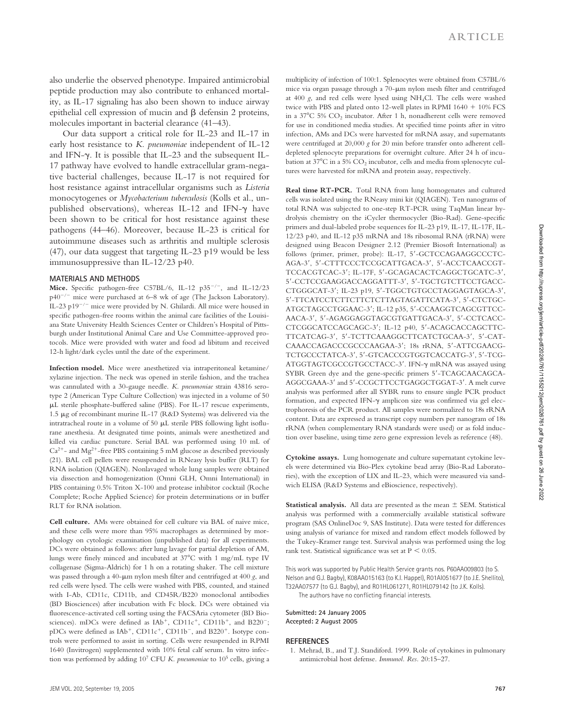also underlie the observed phenotype. Impaired antimicrobial peptide production may also contribute to enhanced mortality, as IL-17 signaling has also been shown to induce airway epithelial cell expression of mucin and  $\beta$  defensin 2 proteins, molecules important in bacterial clearance (41–43).

Our data support a critical role for IL-23 and IL-17 in early host resistance to *K. pneumoniae* independent of IL-12 and IFN- $\gamma$ . It is possible that IL-23 and the subsequent IL-17 pathway have evolved to handle extracellular gram-negative bacterial challenges, because IL-17 is not required for host resistance against intracellular organisms such as *Listeria* monocytogenes or *Mycobacterium tuberculosis* (Kolls et al., unpublished observations), whereas IL-12 and IFN- $\gamma$  have been shown to be critical for host resistance against these pathogens (44–46). Moreover, because IL-23 is critical for autoimmune diseases such as arthritis and multiple sclerosis (47), our data suggest that targeting IL-23 p19 would be less immunosuppressive than IL-12/23 p40.

#### **MATERIALS AND METHODS**

Mice. Specific pathogen-free C57BL/6, IL-12 p35<sup>-/-</sup>, and IL-12/23  $p40^{-/-}$  mice were purchased at 6–8 wk of age (The Jackson Laboratory). IL-23 p19 $^{-/-}$  mice were provided by N. Ghilardi. All mice were housed in specific pathogen-free rooms within the animal care facilities of the Louisiana State University Health Sciences Center or Children's Hospital of Pittsburgh under Institutional Animal Care and Use Committee-approved protocols. Mice were provided with water and food ad libitum and received 12-h light/dark cycles until the date of the experiment.

**Infection model.** Mice were anesthetized via intraperitoneal ketamine/ xylazine injection. The neck was opened in sterile fashion, and the trachea was cannulated with a 30-gauge needle. *K. pneumoniae* strain 43816 serotype 2 (American Type Culture Collection) was injected in a volume of 50 L sterile phosphate-buffered saline (PBS). For IL-17 rescue experiments, 1.5 μg of recombinant murine IL-17 (R&D Systems) was delivered via the intratracheal route in a volume of 50  $\mu$ L sterile PBS following light isoflurane anesthesia. At designated time points, animals were anesthetized and killed via cardiac puncture. Serial BAL was performed using 10 mL of  $Ca<sup>2+</sup>$  and Mg<sup>2+</sup>-free PBS containing 5 mM glucose as described previously (21). BAL cell pellets were resuspended in RNeasy lysis buffer (RLT) for RNA isolation (QIAGEN). Nonlavaged whole lung samples were obtained via dissection and homogenization (Omni GLH, Omni International) in PBS containing 0.5% Triton X-100 and protease inhibitor cocktail (Roche Complete; Roche Applied Science) for protein determinations or in buffer RLT for RNA isolation.

**Cell culture.** AMs were obtained for cell culture via BAL of naive mice, and these cells were more than 95% macrophages as determined by morphology on cytologic examination (unpublished data) for all experiments. DCs were obtained as follows: after lung lavage for partial depletion of AM, lungs were finely minced and incubated at 37 C with 1 mg/mL type IV collagenase (Sigma-Aldrich) for 1 h on a rotating shaker. The cell mixture was passed through a 40- $\mu$ m nylon mesh filter and centrifuged at 400 *g*, and red cells were lysed. The cells were washed with PBS, counted, and stained with I-Ab, CD11c, CD11b, and CD45R/B220 monoclonal antibodies (BD Biosciences) after incubation with Fc block. DCs were obtained via fluorescence-activated cell sorting using the FACSAria cytometer (BD Biosciences). mDCs were defined as IAb<sup>+</sup>, CD11c<sup>+</sup>, CD11b<sup>+</sup>, and B220<sup>-</sup>; pDCs were defined as IAb<sup>+</sup>, CD11c<sup>+</sup>, CD11b<sup>-</sup>, and B220<sup>+</sup>. Isotype controls were performed to assist in sorting. Cells were resuspended in RPMI 1640 (Invitrogen) supplemented with 10% fetal calf serum. In vitro infection was performed by adding 107 CFU *K. pneumoniae* to 105 cells, giving a multiplicity of infection of 100:1. Splenocytes were obtained from C57BL/6 mice via organ passage through a 70- $\mu$ m nylon mesh filter and centrifuged at 400 *g*, and red cells were lysed using NH4Cl. The cells were washed twice with PBS and plated onto 12-well plates in RPMI  $1640 + 10\%$  FCS in a 37 C 5% CO2 incubator. After 1 h, nonadherent cells were removed for use in conditioned media studies. At specified time points after in vitro infection, AMs and DCs were harvested for mRNA assay, and supernatants were centrifuged at 20,000 *g* for 20 min before transfer onto adherent celldepleted splenocyte preparations for overnight culture. After 24 h of incubation at 37°C in a 5%  $CO_2$  incubator, cells and media from splenocyte cultures were harvested for mRNA and protein assay, respectively.

**Real time RT-PCR.** Total RNA from lung homogenates and cultured cells was isolated using the RNeasy mini kit (QIAGEN). Ten nanograms of total RNA was subjected to one-step RT-PCR using TaqMan linear hydrolysis chemistry on the iCycler thermocycler (Bio-Rad). Gene-specific primers and dual-labeled probe sequences for IL-23 p19, IL-17, IL-17F, IL-12/23 p40, and IL-12 p35 mRNA and 18s ribosomal RNA (rRNA) were designed using Beacon Designer 2.12 (Premier Biosoft International) as follows (primer, primer, probe): IL-17, 5'-GCTCCAGAAGGCCCTC-AGA-3', 5'-CTTTCCCTCCGCATTGACA-3', 5'-ACCTCAACCGT-TCCACGTCAC-3'; IL-17F, 5'-GCAGACACTCAGGCTGCATC-3', 5-CCTCCGAAGGACCAGGATTT-3, 5-TGCTGTCTTCCTGACC-CTGGGCAT-3'; IL-23 p19, 5'-TGGCTGTGCCTAGGAGTAGCA-3', 5'-TTCATCCTCTTCTTCTCTTAGTAGATTCATA-3', 5'-CTCTGC-ATGCTAGCCTGGAAC-3; IL-12 p35, 5-CCAAGGTCAGCGTTCC-AACA-3', 5'-AGAGGAGGTAGCGTGATTGACA-3', 5'-CCTCACC-CTCGGCATCCAGCAGC-3; IL-12 p40, 5-ACAGCACCAGCTTC-TTCATCAG-3', 5'-TCTTCAAAGGCTTCATCTGCAA-3', 5'-CAT-CAAACCAGACCCGCCCAAGAA-3; 18s rRNA, 5-ATTCGAACG-TCTGCCCTATCA-3', 5'-GTCACCCGTGGTCACCATG-3', 5'-TCG-ATGGTAGTCGCCGTGCCTACC-3'. IFN- $\gamma$  mRNA was assayed using SYBR Green dye and the gene-specific primers 5'-TCAGCAACAGCA-AGGCGAAA-3' and 5'-CCGCTTCCTGAGGCTGGAT-3'. A melt curve analysis was performed after all SYBR runs to ensure single PCR product formation, and expected IFN- $\gamma$  amplicon size was confirmed via gel electrophoresis of the PCR product. All samples were normalized to 18s rRNA content. Data are expressed as transcript copy numbers per nanogram of 18s rRNA (when complementary RNA standards were used) or as fold induction over baseline, using time zero gene expression levels as reference (48).

**Cytokine assays.** Lung homogenate and culture supernatant cytokine levels were determined via Bio-Plex cytokine bead array (Bio-Rad Laboratories), with the exception of LIX and IL-23, which were measured via sandwich ELISA (R&D Systems and eBioscience, respectively).

**Statistical analysis.** All data are presented as the mean  $\pm$  SEM. Statistical analysis was performed with a commercially available statistical software program (SAS OnlineDoc 9, SAS Institute). Data were tested for differences using analysis of variance for mixed and random effect models followed by the Tukey-Kramer range test. Survival analysis was performed using the log rank test. Statistical significance was set at  $P < 0.05$ .

This work was supported by Public Health Service grants nos. P60AA009803 (to S. Nelson and G.J. Bagby), K08AA015163 (to K.I. Happel), R01AI051677 (to J.E. Shellito), T32AA07577 (to G.J. Bagby), and R01HL061271, R01HL079142 (to J.K. Kolls). The authors have no conflicting financial interests.

**Submitted: 24 January 2005 Accepted: 2 August 2005**

#### **REFERENCES**

1. Mehrad, B., and T.J. Standiford. 1999. Role of cytokines in pulmonary antimicrobial host defense. *Immunol. Res.* 20:15–27.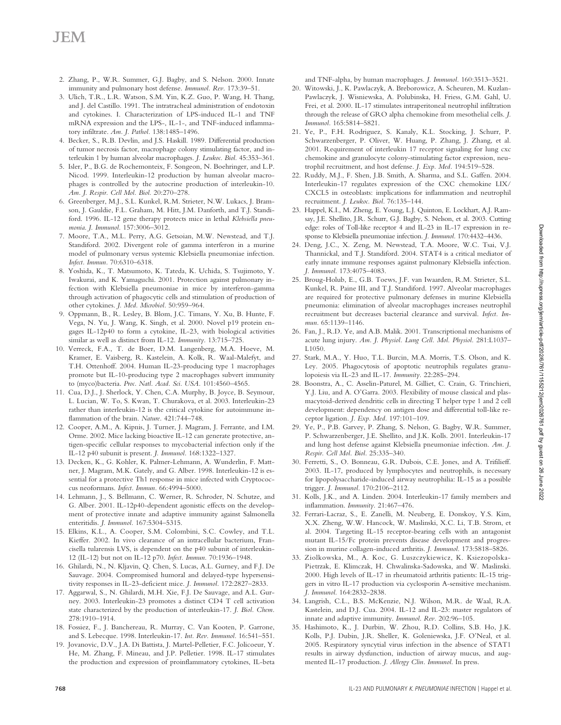## **JEM**

- 2. Zhang, P., W.R. Summer, G.J. Bagby, and S. Nelson. 2000. Innate immunity and pulmonary host defense. *Immunol. Rev.* 173:39–51.
- 3. Ulich, T.R., L.R. Watson, S.M. Yin, K.Z. Guo, P. Wang, H. Thang, and J. del Castillo. 1991. The intratracheal administration of endotoxin and cytokines. I. Characterization of LPS-induced IL-1 and TNF mRNA expression and the LPS-, IL-1-, and TNF-induced inflammatory infiltrate. *Am. J. Pathol.* 138:1485–1496.
- 4. Becker, S., R.B. Devlin, and J.S. Haskill. 1989. Differential production of tumor necrosis factor, macrophage colony stimulating factor, and interleukin 1 by human alveolar macrophages. *J. Leukoc. Biol.* 45:353–361.
- 5. Isler, P., B.G. de Rochemonteix, F. Songeon, N. Boehringer, and L.P. Nicod. 1999. Interleukin-12 production by human alveolar macrophages is controlled by the autocrine production of interleukin-10. *Am. J. Respir. Cell Mol. Biol.* 20:270–278.
- 6. Greenberger, M.J., S.L. Kunkel, R.M. Strieter, N.W. Lukacs, J. Bramson, J. Gauldie, F.L. Graham, M. Hitt, J.M. Danforth, and T.J. Standiford. 1996. IL-12 gene therapy protects mice in lethal *Klebsiella pneumonia*. *J. Immunol.* 157:3006–3012.
- 7. Moore, T.A., M.L. Perry, A.G. Getsoian, M.W. Newstead, and T.J. Standiford. 2002. Divergent role of gamma interferon in a murine model of pulmonary versus systemic Klebsiella pneumoniae infection. *Infect. Immun.* 70:6310–6318.
- 8. Yoshida, K., T. Matsumoto, K. Tateda, K. Uchida, S. Tsujimoto, Y. Iwakurai, and K. Yamaguchi. 2001. Protection against pulmonary infection with Klebsiella pneumoniae in mice by interferon-gamma through activation of phagocytic cells and stimulation of production of other cytokines. *J. Med. Microbiol.* 50:959–964.
- 9. Oppmann, B., R. Lesley, B. Blom, J.C. Timans, Y. Xu, B. Hunte, F. Vega, N. Yu, J. Wang, K. Singh, et al. 2000. Novel p19 protein engages IL-12p40 to form a cytokine, IL-23, with biological activities similar as well as distinct from IL-12. *Immunity.* 13:715–725.
- 10. Verreck, F.A., T. de Boer, D.M. Langenberg, M.A. Hoeve, M. Kramer, E. Vaisberg, R. Kastelein, A. Kolk, R. Waal-Malefyt, and T.H. Ottenhoff. 2004. Human IL-23-producing type 1 macrophages promote but IL-10-producing type 2 macrophages subvert immunity to (myco)bacteria. *Proc. Natl. Acad. Sci. USA.* 101:4560–4565.
- 11. Cua, D.J., J. Sherlock, Y. Chen, C.A. Murphy, B. Joyce, B. Seymour, L. Lucian, W. To, S. Kwan, T. Churakova, et al. 2003. Interleukin-23 rather than interleukin-12 is the critical cytokine for autoimmune inflammation of the brain. *Nature.* 421:744–748.
- 12. Cooper, A.M., A. Kipnis, J. Turner, J. Magram, J. Ferrante, and I.M. Orme. 2002. Mice lacking bioactive IL-12 can generate protective, antigen-specific cellular responses to mycobacterial infection only if the IL-12 p40 subunit is present. *J. Immunol.* 168:1322–1327.
- 13. Decken, K., G. Kohler, K. Palmer-Lehmann, A. Wunderlin, F. Mattner, J. Magram, M.K. Gately, and G. Alber. 1998. Interleukin-12 is essential for a protective Th1 response in mice infected with Cryptococcus neoformans. *Infect. Immun.* 66:4994–5000.
- 14. Lehmann, J., S. Bellmann, C. Werner, R. Schroder, N. Schutze, and G. Alber. 2001. IL-12p40-dependent agonistic effects on the development of protective innate and adaptive immunity against Salmonella enteritidis. *J. Immunol.* 167:5304–5315.
- 15. Elkins, K.L., A. Cooper, S.M. Colombini, S.C. Cowley, and T.L. Kieffer. 2002. In vivo clearance of an intracellular bacterium, Francisella tularensis LVS, is dependent on the p40 subunit of interleukin-12 (IL-12) but not on IL-12 p70. *Infect. Immun.* 70:1936–1948.
- 16. Ghilardi, N., N. Kljavin, Q. Chen, S. Lucas, A.L. Gurney, and F.J. De Sauvage. 2004. Compromised humoral and delayed-type hypersensitivity responses in IL-23-deficient mice. *J. Immunol.* 172:2827–2833.
- 17. Aggarwal, S., N. Ghilardi, M.H. Xie, F.J. De Sauvage, and A.L. Gurney. 2003. Interleukin-23 promotes a distinct CD4 T cell activation state characterized by the production of interleukin-17. *J. Biol. Chem.* 278:1910–1914.
- 18. Fossiez, F., J. Banchereau, R. Murray, C. Van Kooten, P. Garrone, and S. Lebecque. 1998. Interleukin-17. *Int. Rev. Immunol.* 16:541–551.
- 19. Jovanovic, D.V., J.A. Di Battista, J. Martel-Pelletier, F.C. Jolicoeur, Y. He, M. Zhang, F. Mineau, and J.P. Pelletier. 1998. IL-17 stimulates the production and expression of proinflammatory cytokines, IL-beta

and TNF-alpha, by human macrophages. *J. Immunol.* 160:3513–3521.

- 20. Witowski, J., K. Pawlaczyk, A. Breborowicz, A. Scheuren, M. Kuzlan-Pawlaczyk, J. Wisniewska, A. Polubinska, H. Friess, G.M. Gahl, U. Frei, et al. 2000. IL-17 stimulates intraperitoneal neutrophil infiltration through the release of GRO alpha chemokine from mesothelial cells. *J. Immunol.* 165:5814–5821.
- 21. Ye, P., F.H. Rodriguez, S. Kanaly, K.L. Stocking, J. Schurr, P. Schwarzenberger, P. Oliver, W. Huang, P. Zhang, J. Zhang, et al. 2001. Requirement of interleukin 17 receptor signaling for lung cxc chemokine and granulocyte colony-stimulating factor expression, neutrophil recruitment, and host defense. *J. Exp. Med.* 194:519–528.
- 22. Ruddy, M.J., F. Shen, J.B. Smith, A. Sharma, and S.L. Gaffen. 2004. Interleukin-17 regulates expression of the CXC chemokine LIX/ CXCL5 in osteoblasts: implications for inflammation and neutrophil recruitment. *J. Leukoc. Biol.* 76:135–144.
- 23. Happel, K.I., M. Zheng, E. Young, L.J. Quinton, E. Lockhart, A.J. Ramsay, J.E. Shellito, J.R. Schurr, G.J. Bagby, S. Nelson, et al. 2003. Cutting edge: roles of Toll-like receptor 4 and IL-23 in IL-17 expression in response to Klebsiella pneumoniae infection. *J. Immunol.* 170:4432–4436.
- 24. Deng, J.C., X. Zeng, M. Newstead, T.A. Moore, W.C. Tsai, V.J. Thannickal, and T.J. Standiford. 2004. STAT4 is a critical mediator of early innate immune responses against pulmonary Klebsiella infection. *J. Immunol.* 173:4075–4083.
- 25. Broug-Holub, E., G.B. Toews, J.F. van Iwaarden, R.M. Strieter, S.L. Kunkel, R. Paine III, and T.J. Standiford. 1997. Alveolar macrophages are required for protective pulmonary defenses in murine Klebsiella pneumonia: elimination of alveolar macrophages increases neutrophil recruitment but decreases bacterial clearance and survival. *Infect. Immun.* 65:1139–1146.
- 26. Fan, J., R.D. Ye, and A.B. Malik. 2001. Transcriptional mechanisms of acute lung injury. *Am. J. Physiol. Lung Cell. Mol. Physiol.* 281:L1037– L1050.
- 27. Stark, M.A., Y. Huo, T.L. Burcin, M.A. Morris, T.S. Olson, and K. Ley. 2005. Phagocytosis of apoptotic neutrophils regulates granulopoiesis via IL-23 and IL-17. *Immunity.* 22:285–294.
- 28. Boonstra, A., C. Asselin-Paturel, M. Gilliet, C. Crain, G. Trinchieri, Y.J. Liu, and A. O'Garra. 2003. Flexibility of mouse classical and plasmacytoid-derived dendritic cells in directing T helper type 1 and 2 cell development: dependency on antigen dose and differential toll-like receptor ligation. *J. Exp. Med.* 197:101–109.
- 29. Ye, P., P.B. Garvey, P. Zhang, S. Nelson, G. Bagby, W.R. Summer, P. Schwarzenberger, J.E. Shellito, and J.K. Kolls. 2001. Interleukin-17 and lung host defense against Klebsiella pneumoniae infection. *Am. J. Respir. Cell Mol. Biol.* 25:335–340.
- 30. Ferretti, S., O. Bonneau, G.R. Dubois, C.E. Jones, and A. Trifilieff. 2003. IL-17, produced by lymphocytes and neutrophils, is necessary for lipopolysaccharide-induced airway neutrophilia: IL-15 as a possible trigger. *J. Immunol.* 170:2106–2112.
- 31. Kolls, J.K., and A. Linden. 2004. Interleukin-17 family members and inflammation. *Immunity.* 21:467–476.
- 32. Ferrari-Lacraz, S., E. Zanelli, M. Neuberg, E. Donskoy, Y.S. Kim, X.X. Zheng, W.W. Hancock, W. Maslinski, X.C. Li, T.B. Strom, et al. 2004. Targeting IL-15 receptor-bearing cells with an antagonist mutant IL-15/Fc protein prevents disease development and progression in murine collagen-induced arthritis. *J. Immunol.* 173:5818–5826.
- 33. Ziolkowska, M., A. Koc, G. Luszczykiewicz, K. Ksiezopolska-Pietrzak, E. Klimczak, H. Chwalinska-Sadowska, and W. Maslinski. 2000. High levels of IL-17 in rheumatoid arthritis patients: IL-15 triggers in vitro IL-17 production via cyclosporin A-sensitive mechanism. *J. Immunol.* 164:2832–2838.
- 34. Langrish, C.L., B.S. McKenzie, N.J. Wilson, M.R. de Waal, R.A. Kastelein, and D.J. Cua. 2004. IL-12 and IL-23: master regulators of innate and adaptive immunity. *Immunol. Rev.* 202:96–105.
- 35. Hashimoto, K., J. Durbin, W. Zhou, R.D. Collins, S.B. Ho, J.K. Kolls, P.J. Dubin, J.R. Sheller, K. Goleniewska, J.F. O'Neal, et al. 2005. Respiratory syncytial virus infection in the absence of STAT1 results in airway dysfunction, induction of airway mucus, and augmented IL-17 production. *J. Allergy Clin. Immunol.* In press.